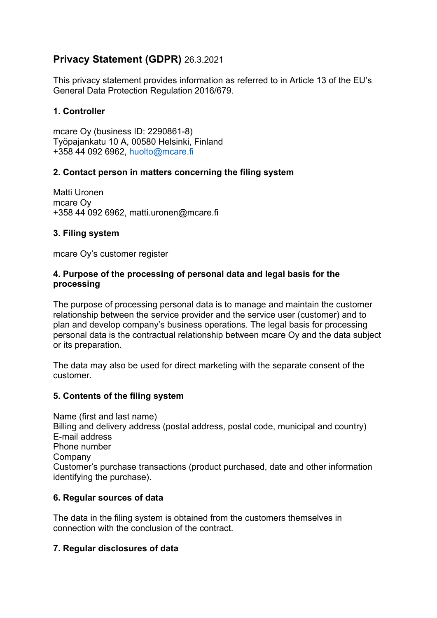# **Privacy Statement (GDPR)** 26.3.2021

This privacy statement provides information as referred to in Article 13 of the EU's General Data Protection Regulation 2016/679.

# **1. Controller**

mcare Oy (business ID: 2290861-8) Työpajankatu 10 A, 00580 Helsinki, Finland +358 44 092 6962, huolto@mcare.fi

## **2. Contact person in matters concerning the filing system**

Matti Uronen mcare Oy +358 44 092 6962, matti.uronen@mcare.fi

## **3. Filing system**

mcare Oy's customer register

#### **4. Purpose of the processing of personal data and legal basis for the processing**

The purpose of processing personal data is to manage and maintain the customer relationship between the service provider and the service user (customer) and to plan and develop company's business operations. The legal basis for processing personal data is the contractual relationship between mcare Oy and the data subject or its preparation.

The data may also be used for direct marketing with the separate consent of the customer.

#### **5. Contents of the filing system**

Name (first and last name) Billing and delivery address (postal address, postal code, municipal and country) E-mail address Phone number Company Customer's purchase transactions (product purchased, date and other information identifying the purchase).

#### **6. Regular sources of data**

The data in the filing system is obtained from the customers themselves in connection with the conclusion of the contract.

#### **7. Regular disclosures of data**